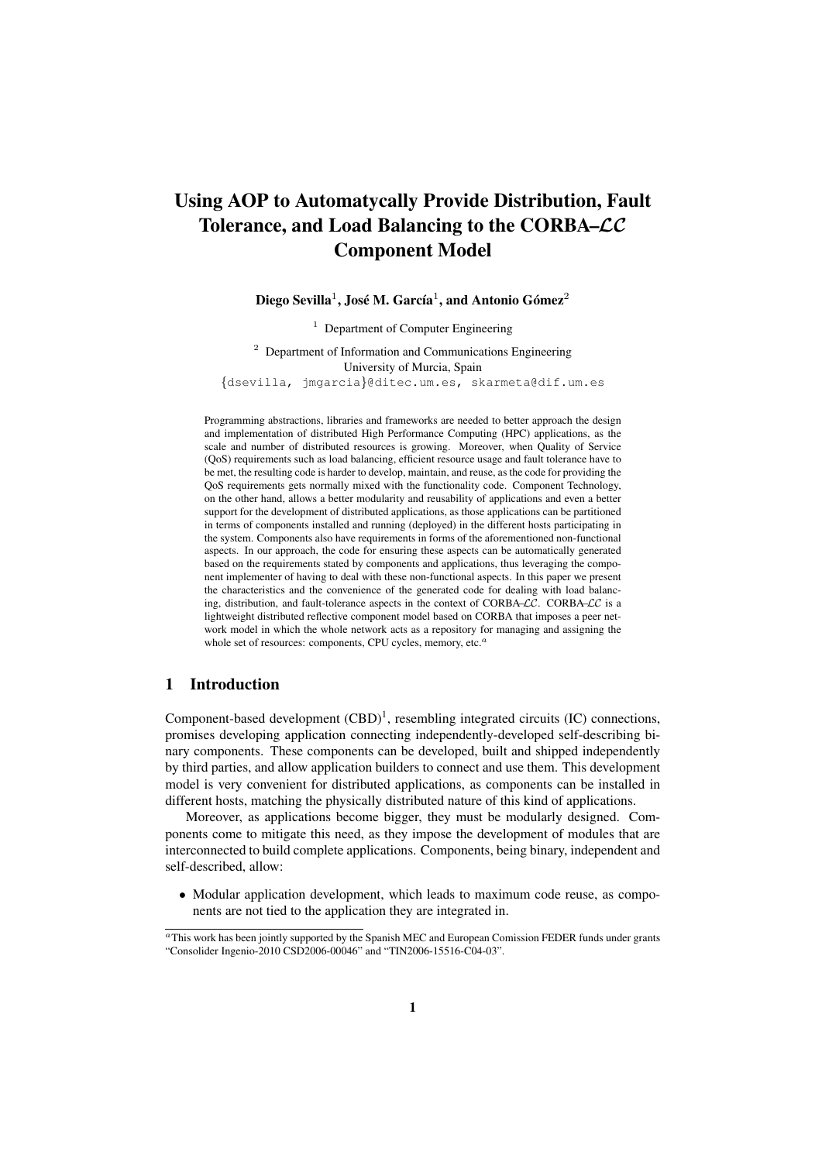# Using AOP to Automatycally Provide Distribution, Fault Tolerance, and Load Balancing to the CORBA–LC Component Model

### Diego Sevilla $^1$ , José M. García $^1$ , and Antonio Gómez $^2$

 $1$  Department of Computer Engineering

<sup>2</sup> Department of Information and Communications Engineering University of Murcia, Spain {dsevilla, jmgarcia}@ditec.um.es, skarmeta@dif.um.es

Programming abstractions, libraries and frameworks are needed to better approach the design and implementation of distributed High Performance Computing (HPC) applications, as the scale and number of distributed resources is growing. Moreover, when Quality of Service (QoS) requirements such as load balancing, efficient resource usage and fault tolerance have to be met, the resulting code is harder to develop, maintain, and reuse, as the code for providing the QoS requirements gets normally mixed with the functionality code. Component Technology, on the other hand, allows a better modularity and reusability of applications and even a better support for the development of distributed applications, as those applications can be partitioned in terms of components installed and running (deployed) in the different hosts participating in the system. Components also have requirements in forms of the aforementioned non-functional aspects. In our approach, the code for ensuring these aspects can be automatically generated based on the requirements stated by components and applications, thus leveraging the component implementer of having to deal with these non-functional aspects. In this paper we present the characteristics and the convenience of the generated code for dealing with load balancing, distribution, and fault-tolerance aspects in the context of CORBA–LC. CORBA–LC is a lightweight distributed reflective component model based on CORBA that imposes a peer network model in which the whole network acts as a repository for managing and assigning the whole set of resources: components, CPU cycles, memory, etc.<sup>a</sup>

#### 1 Introduction

Component-based development  $(CBD)^1$ , resembling integrated circuits  $(IC)$  connections, promises developing application connecting independently-developed self-describing binary components. These components can be developed, built and shipped independently by third parties, and allow application builders to connect and use them. This development model is very convenient for distributed applications, as components can be installed in different hosts, matching the physically distributed nature of this kind of applications.

Moreover, as applications become bigger, they must be modularly designed. Components come to mitigate this need, as they impose the development of modules that are interconnected to build complete applications. Components, being binary, independent and self-described, allow:

• Modular application development, which leads to maximum code reuse, as components are not tied to the application they are integrated in.

<sup>a</sup>This work has been jointly supported by the Spanish MEC and European Comission FEDER funds under grants "Consolider Ingenio-2010 CSD2006-00046" and "TIN2006-15516-C04-03".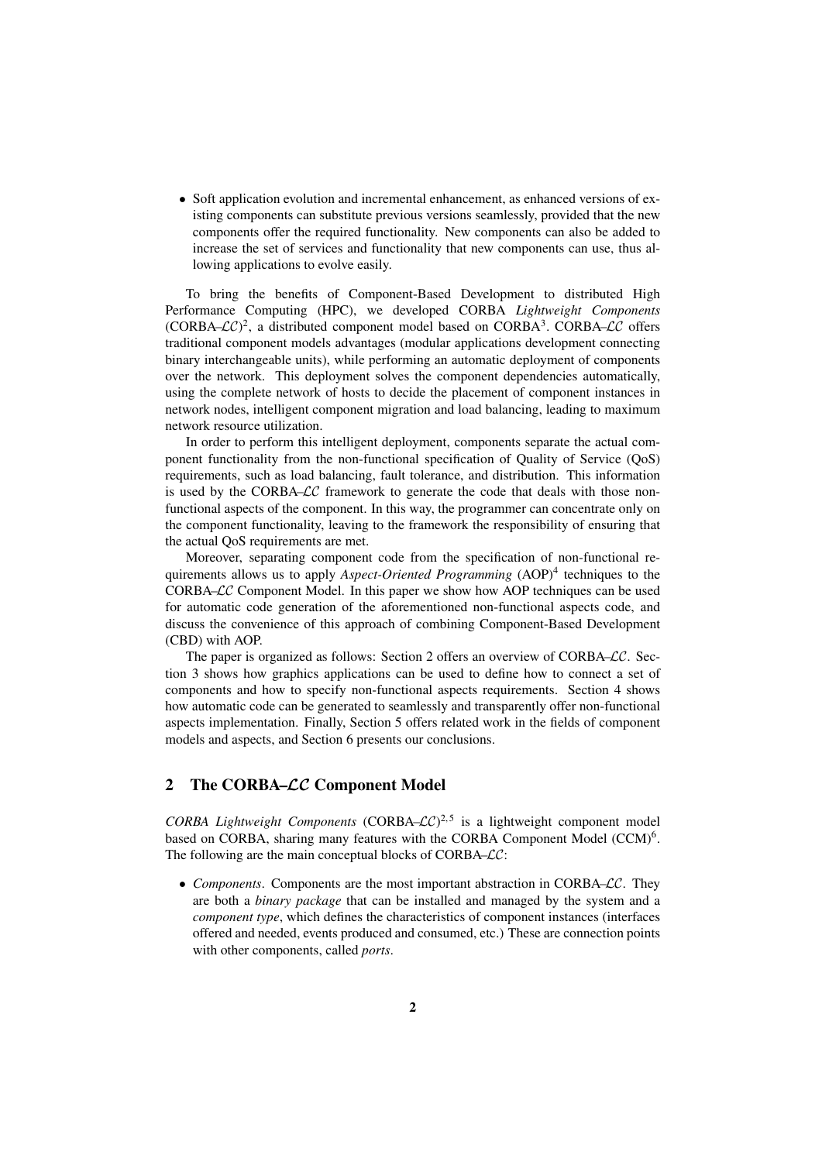• Soft application evolution and incremental enhancement, as enhanced versions of existing components can substitute previous versions seamlessly, provided that the new components offer the required functionality. New components can also be added to increase the set of services and functionality that new components can use, thus allowing applications to evolve easily.

To bring the benefits of Component-Based Development to distributed High Performance Computing (HPC), we developed CORBA *Lightweight Components* (CORBA– $\mathcal{LC}$ )<sup>2</sup>, a distributed component model based on CORBA<sup>3</sup>. CORBA– $\mathcal{LC}$  offers traditional component models advantages (modular applications development connecting binary interchangeable units), while performing an automatic deployment of components over the network. This deployment solves the component dependencies automatically, using the complete network of hosts to decide the placement of component instances in network nodes, intelligent component migration and load balancing, leading to maximum network resource utilization.

In order to perform this intelligent deployment, components separate the actual component functionality from the non-functional specification of Quality of Service (QoS) requirements, such as load balancing, fault tolerance, and distribution. This information is used by the CORBA– $\mathcal{LC}$  framework to generate the code that deals with those nonfunctional aspects of the component. In this way, the programmer can concentrate only on the component functionality, leaving to the framework the responsibility of ensuring that the actual QoS requirements are met.

Moreover, separating component code from the specification of non-functional requirements allows us to apply *Aspect-Oriented Programming* (AOP)<sup>4</sup> techniques to the CORBA– $\mathcal{LC}$  Component Model. In this paper we show how AOP techniques can be used for automatic code generation of the aforementioned non-functional aspects code, and discuss the convenience of this approach of combining Component-Based Development (CBD) with AOP.

The paper is organized as follows: Section 2 offers an overview of  $CORBA–\mathcal{LC}$ . Section 3 shows how graphics applications can be used to define how to connect a set of components and how to specify non-functional aspects requirements. Section 4 shows how automatic code can be generated to seamlessly and transparently offer non-functional aspects implementation. Finally, Section 5 offers related work in the fields of component models and aspects, and Section 6 presents our conclusions.

## 2 The CORBA–*LC* Component Model

CORBA Lightweight Components (CORBA- $\mathcal{LC}$ )<sup>2,5</sup> is a lightweight component model based on CORBA, sharing many features with the CORBA Component Model (CCM)<sup>6</sup>. The following are the main conceptual blocks of CORBA– $\mathcal{LC}$ :

• *Components*. Components are the most important abstraction in CORBA– $\mathcal{LC}$ . They are both a *binary package* that can be installed and managed by the system and a *component type*, which defines the characteristics of component instances (interfaces offered and needed, events produced and consumed, etc.) These are connection points with other components, called *ports*.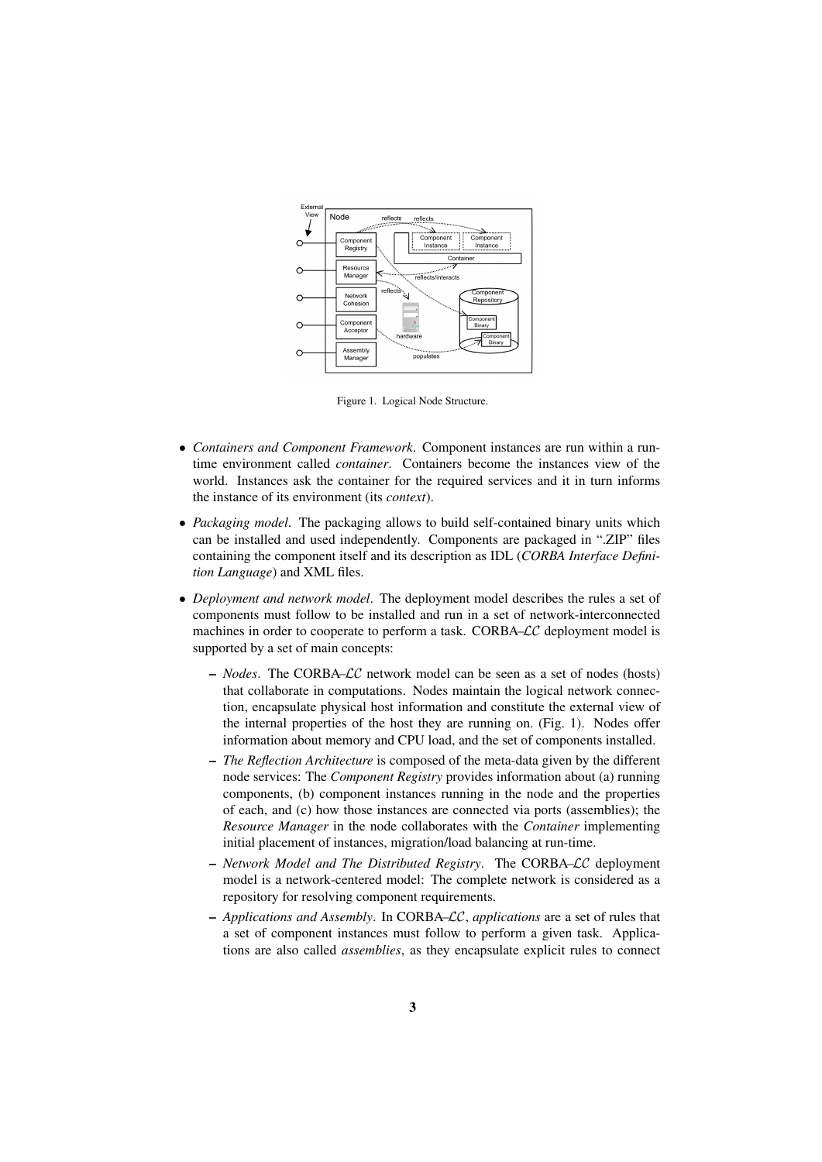

Figure 1. Logical Node Structure.

- *Containers and Component Framework*. Component instances are run within a runtime environment called *container*. Containers become the instances view of the world. Instances ask the container for the required services and it in turn informs the instance of its environment (its *context*).
- *Packaging model*. The packaging allows to build self-contained binary units which can be installed and used independently. Components are packaged in ".ZIP" files containing the component itself and its description as IDL (*CORBA Interface Definition Language*) and XML files.
- *Deployment and network model*. The deployment model describes the rules a set of components must follow to be installed and run in a set of network-interconnected machines in order to cooperate to perform a task. CORBA–LC deployment model is supported by a set of main concepts:
	- *Nodes*. The CORBA–LC network model can be seen as a set of nodes (hosts) that collaborate in computations. Nodes maintain the logical network connection, encapsulate physical host information and constitute the external view of the internal properties of the host they are running on. (Fig. 1). Nodes offer information about memory and CPU load, and the set of components installed.
	- *The Reflection Architecture* is composed of the meta-data given by the different node services: The *Component Registry* provides information about (a) running components, (b) component instances running in the node and the properties of each, and (c) how those instances are connected via ports (assemblies); the *Resource Manager* in the node collaborates with the *Container* implementing initial placement of instances, migration/load balancing at run-time.
	- *Network Model and The Distributed Registry*. The CORBA–LC deployment model is a network-centered model: The complete network is considered as a repository for resolving component requirements.
	- *Applications and Assembly*. In CORBA–LC, *applications* are a set of rules that a set of component instances must follow to perform a given task. Applications are also called *assemblies*, as they encapsulate explicit rules to connect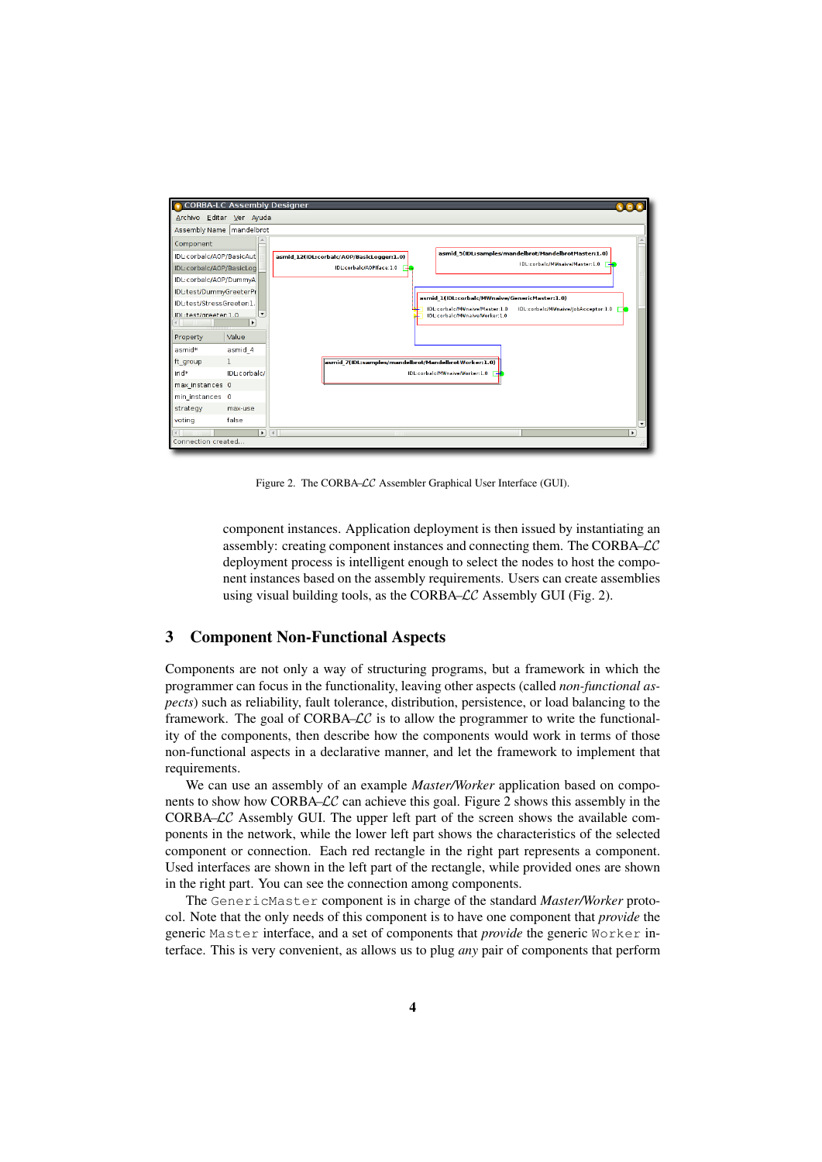| <b>CORBA-LC Assembly Designer</b>                                |                                                                                                   |
|------------------------------------------------------------------|---------------------------------------------------------------------------------------------------|
| Archivo Editar Ver Ayuda                                         |                                                                                                   |
| Assembly Name   mandelbrot                                       |                                                                                                   |
| Component                                                        |                                                                                                   |
| IDL:corbalc/AOP/BasicAut                                         | asmid 5(IDL:samples/mandelbrot/MandelbrotMaster:1.0)<br>asmid 12(IDL:corbalc/AOP/BasicLogger:1.0) |
| IDL:corbalc/AOP/BasicLog                                         | IDL:corbalc/MWnaive/Master:1.0<br>IDL:corbalc/AOPIface:1.0                                        |
| IDL:corbalc/A0P/DummyA                                           |                                                                                                   |
| IDL:test/DummyGreeterPr                                          | asmid_1(IDL:corbalc/MWnaive/GenericMaster:1.0)                                                    |
| IDL:test/StressGreeter:1.                                        | IDL:corbalc/MWnaive/Master:1.0<br>IDL:corbalc/MWnaive/JobAcceptor:1.0                             |
| $\overline{\phantom{a}}$<br>IDI:test/greeter:1.0<br>$\mathbf{r}$ | IDL:corbalc/MWnaive/Worker:1.0                                                                    |
|                                                                  |                                                                                                   |
| Value<br>Property                                                |                                                                                                   |
| asmid*<br>asmid 4                                                |                                                                                                   |
| ft_group<br>1                                                    | asmid 7(IDL:samples/mandelbrot/MandelbrotWorker:1.0)                                              |
| IDL:corbalc/<br>irid*                                            | IDL:corbalc/MWnaive/Worker:1.0                                                                    |
| max instances 0                                                  |                                                                                                   |
| min instances 0                                                  |                                                                                                   |
| strategy<br>max-use                                              |                                                                                                   |
| false<br>voting                                                  |                                                                                                   |
|                                                                  | $\blacksquare$<br>$\blacktriangleright$                                                           |
| Connection created                                               |                                                                                                   |

Figure 2. The CORBA–LC Assembler Graphical User Interface (GUI).

component instances. Application deployment is then issued by instantiating an assembly: creating component instances and connecting them. The CORBA–LC deployment process is intelligent enough to select the nodes to host the component instances based on the assembly requirements. Users can create assemblies using visual building tools, as the CORBA–LC Assembly GUI (Fig. 2).

#### 3 Component Non-Functional Aspects

Components are not only a way of structuring programs, but a framework in which the programmer can focus in the functionality, leaving other aspects (called *non-functional aspects*) such as reliability, fault tolerance, distribution, persistence, or load balancing to the framework. The goal of CORBA– $\mathcal{LC}$  is to allow the programmer to write the functionality of the components, then describe how the components would work in terms of those non-functional aspects in a declarative manner, and let the framework to implement that requirements.

We can use an assembly of an example *Master/Worker* application based on components to show how CORBA– $\mathcal{LC}$  can achieve this goal. Figure 2 shows this assembly in the CORBA– $\mathcal{LC}$  Assembly GUI. The upper left part of the screen shows the available components in the network, while the lower left part shows the characteristics of the selected component or connection. Each red rectangle in the right part represents a component. Used interfaces are shown in the left part of the rectangle, while provided ones are shown in the right part. You can see the connection among components.

The GenericMaster component is in charge of the standard *Master/Worker* protocol. Note that the only needs of this component is to have one component that *provide* the generic Master interface, and a set of components that *provide* the generic Worker interface. This is very convenient, as allows us to plug *any* pair of components that perform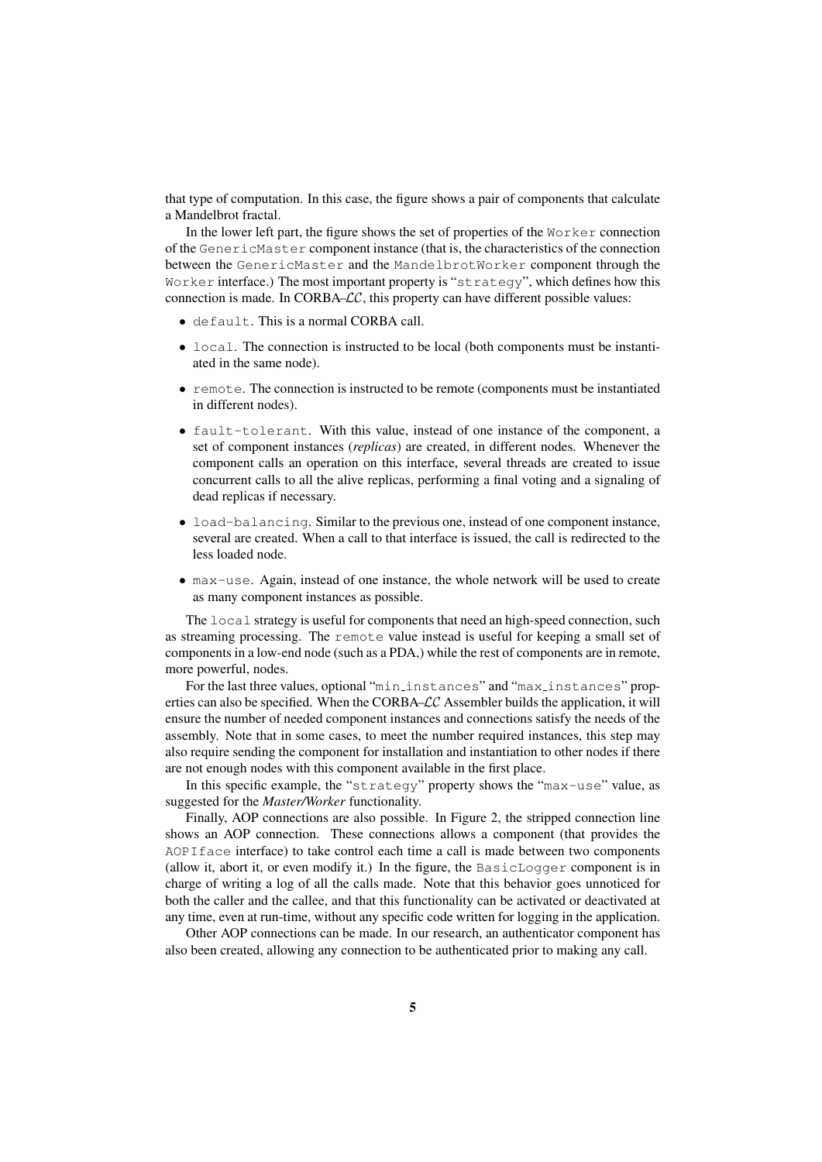that type of computation. In this case, the figure shows a pair of components that calculate a Mandelbrot fractal.

In the lower left part, the figure shows the set of properties of the Worker connection of the GenericMaster component instance (that is, the characteristics of the connection between the GenericMaster and the MandelbrotWorker component through the Worker interface.) The most important property is "strategy", which defines how this connection is made. In CORBA– $\mathcal{LC}$ , this property can have different possible values:

- default. This is a normal CORBA call.
- local. The connection is instructed to be local (both components must be instantiated in the same node).
- remote. The connection is instructed to be remote (components must be instantiated in different nodes).
- fault-tolerant. With this value, instead of one instance of the component, a set of component instances (*replicas*) are created, in different nodes. Whenever the component calls an operation on this interface, several threads are created to issue concurrent calls to all the alive replicas, performing a final voting and a signaling of dead replicas if necessary.
- load-balancing. Similar to the previous one, instead of one component instance, several are created. When a call to that interface is issued, the call is redirected to the less loaded node.
- max-use. Again, instead of one instance, the whole network will be used to create as many component instances as possible.

The local strategy is useful for components that need an high-speed connection, such as streaming processing. The remote value instead is useful for keeping a small set of components in a low-end node (such as a PDA,) while the rest of components are in remote, more powerful, nodes.

For the last three values, optional "min\_instances" and "max\_instances" properties can also be specified. When the CORBA–LC Assembler builds the application, it will ensure the number of needed component instances and connections satisfy the needs of the assembly. Note that in some cases, to meet the number required instances, this step may also require sending the component for installation and instantiation to other nodes if there are not enough nodes with this component available in the first place.

In this specific example, the "strategy" property shows the "max-use" value, as suggested for the *Master/Worker* functionality.

Finally, AOP connections are also possible. In Figure 2, the stripped connection line shows an AOP connection. These connections allows a component (that provides the AOPIface interface) to take control each time a call is made between two components (allow it, abort it, or even modify it.) In the figure, the BasicLogger component is in charge of writing a log of all the calls made. Note that this behavior goes unnoticed for both the caller and the callee, and that this functionality can be activated or deactivated at any time, even at run-time, without any specific code written for logging in the application.

Other AOP connections can be made. In our research, an authenticator component has also been created, allowing any connection to be authenticated prior to making any call.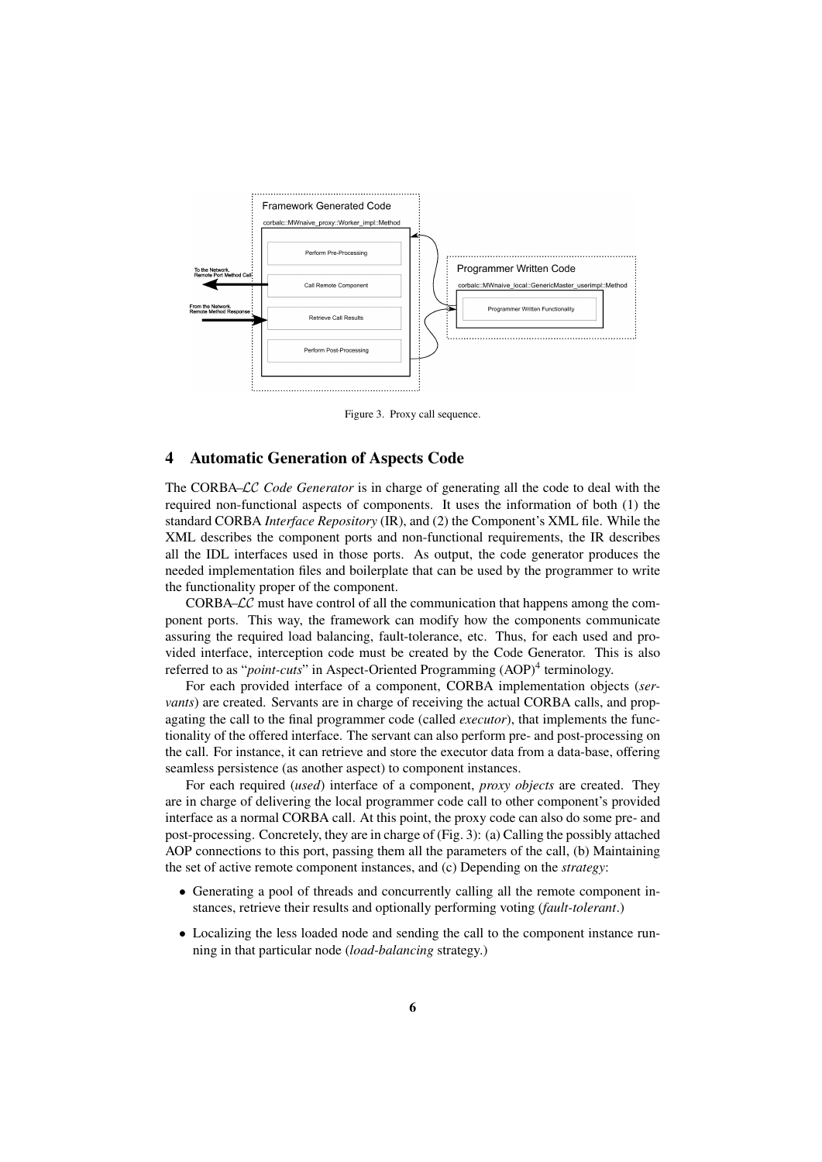

Figure 3. Proxy call sequence.

### 4 Automatic Generation of Aspects Code

The CORBA–LC *Code Generator* is in charge of generating all the code to deal with the required non-functional aspects of components. It uses the information of both (1) the standard CORBA *Interface Repository* (IR), and (2) the Component's XML file. While the XML describes the component ports and non-functional requirements, the IR describes all the IDL interfaces used in those ports. As output, the code generator produces the needed implementation files and boilerplate that can be used by the programmer to write the functionality proper of the component.

CORBA– $\mathcal{LC}$  must have control of all the communication that happens among the component ports. This way, the framework can modify how the components communicate assuring the required load balancing, fault-tolerance, etc. Thus, for each used and provided interface, interception code must be created by the Code Generator. This is also referred to as "*point-cuts*" in Aspect-Oriented Programming (AOP)<sup>4</sup> terminology.

For each provided interface of a component, CORBA implementation objects (*servants*) are created. Servants are in charge of receiving the actual CORBA calls, and propagating the call to the final programmer code (called *executor*), that implements the functionality of the offered interface. The servant can also perform pre- and post-processing on the call. For instance, it can retrieve and store the executor data from a data-base, offering seamless persistence (as another aspect) to component instances.

For each required (*used*) interface of a component, *proxy objects* are created. They are in charge of delivering the local programmer code call to other component's provided interface as a normal CORBA call. At this point, the proxy code can also do some pre- and post-processing. Concretely, they are in charge of (Fig. 3): (a) Calling the possibly attached AOP connections to this port, passing them all the parameters of the call, (b) Maintaining the set of active remote component instances, and (c) Depending on the *strategy*:

- Generating a pool of threads and concurrently calling all the remote component instances, retrieve their results and optionally performing voting (*fault-tolerant*.)
- Localizing the less loaded node and sending the call to the component instance running in that particular node (*load-balancing* strategy.)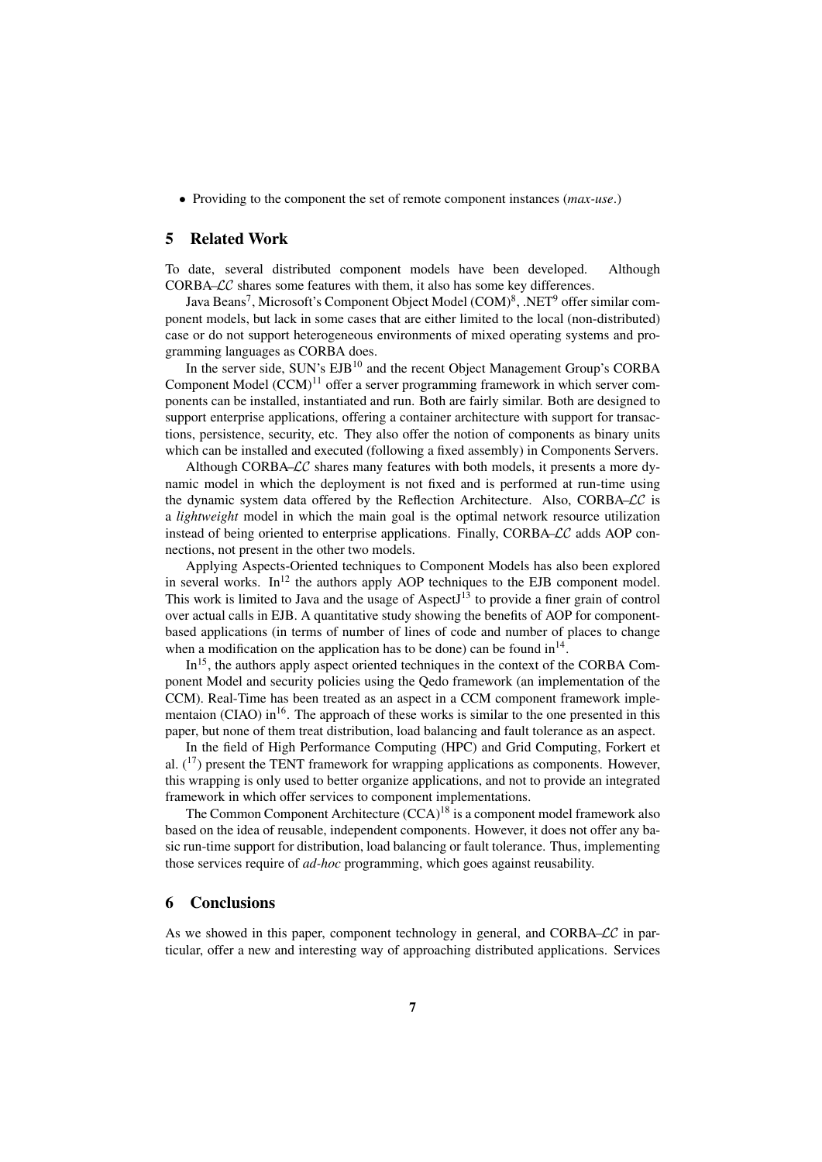• Providing to the component the set of remote component instances (*max-use*.)

#### 5 Related Work

To date, several distributed component models have been developed. Although CORBA–LC shares some features with them, it also has some key differences.

Java Beans<sup>7</sup>, Microsoft's Component Object Model (COM)<sup>8</sup>, .NET<sup>9</sup> offer similar component models, but lack in some cases that are either limited to the local (non-distributed) case or do not support heterogeneous environments of mixed operating systems and programming languages as CORBA does.

In the server side, SUN's EJB<sup>10</sup> and the recent Object Management Group's CORBA Component Model  $(CCM)^{11}$  offer a server programming framework in which server components can be installed, instantiated and run. Both are fairly similar. Both are designed to support enterprise applications, offering a container architecture with support for transactions, persistence, security, etc. They also offer the notion of components as binary units which can be installed and executed (following a fixed assembly) in Components Servers.

Although CORBA– $\mathcal{LC}$  shares many features with both models, it presents a more dynamic model in which the deployment is not fixed and is performed at run-time using the dynamic system data offered by the Reflection Architecture. Also, CORBA–LC is a *lightweight* model in which the main goal is the optimal network resource utilization instead of being oriented to enterprise applications. Finally, CORBA–LC adds AOP connections, not present in the other two models.

Applying Aspects-Oriented techniques to Component Models has also been explored in several works.  $In^{12}$  the authors apply AOP techniques to the EJB component model. This work is limited to Java and the usage of Aspect $J<sup>13</sup>$  to provide a finer grain of control over actual calls in EJB. A quantitative study showing the benefits of AOP for componentbased applications (in terms of number of lines of code and number of places to change when a modification on the application has to be done) can be found  $\ln^{14}$ .

In<sup>15</sup>, the authors apply aspect oriented techniques in the context of the CORBA Component Model and security policies using the Qedo framework (an implementation of the CCM). Real-Time has been treated as an aspect in a CCM component framework implementaion (CIAO) in<sup>16</sup>. The approach of these works is similar to the one presented in this paper, but none of them treat distribution, load balancing and fault tolerance as an aspect.

In the field of High Performance Computing (HPC) and Grid Computing, Forkert et al.  $(^{17})$  present the TENT framework for wrapping applications as components. However, this wrapping is only used to better organize applications, and not to provide an integrated framework in which offer services to component implementations.

The Common Component Architecture (CCA)<sup>18</sup> is a component model framework also based on the idea of reusable, independent components. However, it does not offer any basic run-time support for distribution, load balancing or fault tolerance. Thus, implementing those services require of *ad-hoc* programming, which goes against reusability.

## 6 Conclusions

As we showed in this paper, component technology in general, and CORBA– $\mathcal{LC}$  in particular, offer a new and interesting way of approaching distributed applications. Services